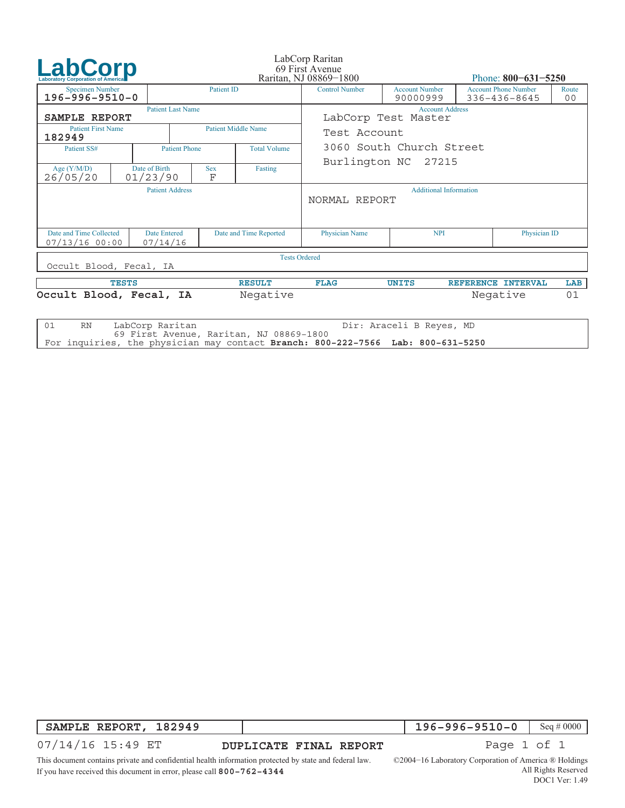| <b>LabCorp</b>                                   |  |                                             |                      |                            | LabCorp Raritan<br>69 First Avenue             |                                               |                           |                                             |             |  |  |
|--------------------------------------------------|--|---------------------------------------------|----------------------|----------------------------|------------------------------------------------|-----------------------------------------------|---------------------------|---------------------------------------------|-------------|--|--|
|                                                  |  |                                             |                      | Raritan, NJ 08869-1800     |                                                |                                               | Phone: $800 - 631 - 5250$ |                                             |             |  |  |
| <b>Specimen Number</b><br>$196 - 996 - 9510 - 0$ |  |                                             | <b>Patient ID</b>    |                            | <b>Control Number</b>                          | <b>Account Number</b><br>90000999             |                           | <b>Account Phone Number</b><br>336-436-8645 | Route<br>00 |  |  |
| SAMPLE REPORT                                    |  | <b>Patient Last Name</b>                    |                      |                            |                                                | <b>Account Address</b><br>LabCorp Test Master |                           |                                             |             |  |  |
| <b>Patient First Name</b><br>182949              |  |                                             |                      | <b>Patient Middle Name</b> | Test Account                                   |                                               |                           |                                             |             |  |  |
| Patient SS#                                      |  |                                             | <b>Patient Phone</b> | <b>Total Volume</b>        | 3060 South Church Street                       |                                               |                           |                                             |             |  |  |
|                                                  |  |                                             |                      |                            |                                                | Burlington NC 27215                           |                           |                                             |             |  |  |
| Age $(Y/M/D)$<br>26/05/20                        |  | Date of Birth<br>01/23/90                   | <b>Sex</b><br>F      | Fasting                    |                                                |                                               |                           |                                             |             |  |  |
| <b>Patient Address</b>                           |  |                                             |                      |                            | <b>Additional Information</b><br>NORMAL REPORT |                                               |                           |                                             |             |  |  |
| Date and Time Collected<br>$07/13/16$ 00:00      |  | <b>Date Entered</b><br>07/14/16             |                      | Date and Time Reported     | <b>Physician Name</b>                          | <b>NPI</b>                                    |                           | Physician ID                                |             |  |  |
| Occult Blood, Fecal, IA                          |  |                                             |                      | <b>Tests Ordered</b>       |                                                |                                               |                           |                                             |             |  |  |
| <b>TESTS</b>                                     |  |                                             | <b>RESULT</b>        | <b>FLAG</b>                | <b>UNITS</b>                                   |                                               | REFERENCE INTERVAL        | LAB                                         |             |  |  |
| Occult Blood, Fecal, IA                          |  |                                             |                      | Negative                   |                                                |                                               |                           | Negative                                    | 01          |  |  |
| 01<br><b>RN</b>                                  |  | LabCorp Raritan<br>Dir: Araceli B Reyes, MD |                      |                            |                                                |                                               |                           |                                             |             |  |  |

69 First Avenue, Raritan, NJ 08869−1800 For inquiries, the physician may contact **Branch: 800−222−7566 Lab: 800−631−5250**

**SAMPLE REPORT, 182949**

**196−996−9510−0** Seq # 0000

07/14/16 15:49 ET

**DUPLICATE FINAL REPORT Page 1 of 1** 

This document contains private and confidential health information protected by state and federal law. If you have received this document in error, please call **800−762−4344**

©2004−16 Laboratory Corporation of America ® Holdings All Rights Reserved DOC1 Ver: 1.49